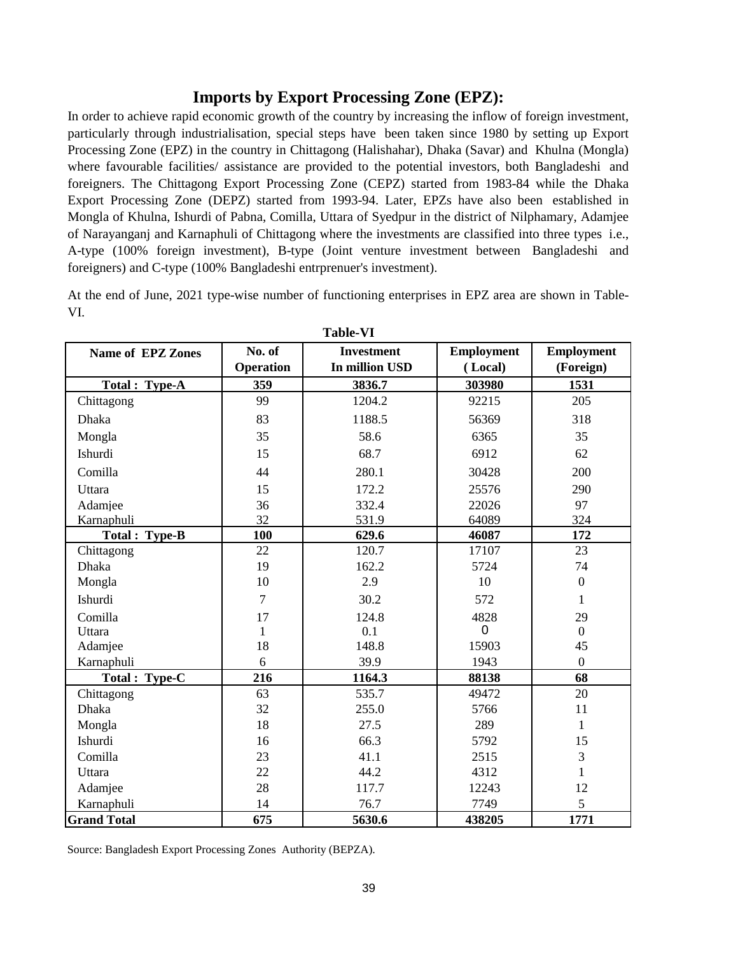## **Imports by Export Processing Zone (EPZ):**

In order to achieve rapid economic growth of the country by increasing the inflow of foreign investment, particularly through industrialisation, special steps have been taken since 1980 by setting up Export Processing Zone (EPZ) in the country in Chittagong (Halishahar), Dhaka (Savar) and Khulna (Mongla) where favourable facilities/ assistance are provided to the potential investors, both Bangladeshi and foreigners. The Chittagong Export Processing Zone (CEPZ) started from 1983-84 while the Dhaka Export Processing Zone (DEPZ) started from 1993-94. Later, EPZs have also been established in Mongla of Khulna, Ishurdi of Pabna, Comilla, Uttara of Syedpur in the district of Nilphamary, Adamjee of Narayanganj and Karnaphuli of Chittagong where the investments are classified into three types i.e., A-type (100% foreign investment), B-type (Joint venture investment between Bangladeshi and foreigners) and C-type (100% Bangladeshi entrprenuer's investment).

At the end of June, 2021 type-wise number of functioning enterprises in EPZ area are shown in Table-VI.

| 1 adie- V 1              |              |                   |                   |                   |  |
|--------------------------|--------------|-------------------|-------------------|-------------------|--|
| <b>Name of EPZ Zones</b> | No. of       | <b>Investment</b> | <b>Employment</b> | <b>Employment</b> |  |
|                          | Operation    | In million USD    | (Local)           | (Foreign)         |  |
| Total: Type-A            | 359          | 3836.7            | 303980            | 1531              |  |
| Chittagong               | 99           | 1204.2            | 92215             | 205               |  |
| <b>Dhaka</b>             | 83           | 1188.5            | 56369             | 318               |  |
| Mongla                   | 35           | 58.6              | 6365              | 35                |  |
| Ishurdi                  | 15           | 68.7              | 6912              | 62                |  |
| Comilla                  | 44           | 280.1             | 30428             | 200               |  |
| Uttara                   | 15           | 172.2             | 25576             | 290               |  |
| Adamiee                  | 36           | 332.4             | 22026             | 97                |  |
| Karnaphuli               | 32           | 531.9             | 64089             | 324               |  |
| Total: Type-B            | 100          | 629.6             | 46087             | 172               |  |
| Chittagong               | 22           | 120.7             | 17107             | 23                |  |
| <b>Dhaka</b>             | 19           | 162.2             | 5724              | 74                |  |
| Mongla                   | 10           | 2.9               | 10                | $\boldsymbol{0}$  |  |
| Ishurdi                  | 7            | 30.2              | 572               | 1                 |  |
| Comilla                  | 17           | 124.8             | 4828              | 29                |  |
| Uttara                   | $\mathbf{1}$ | 0.1               | 0                 | $\boldsymbol{0}$  |  |
| Adamjee                  | 18           | 148.8             | 15903             | 45                |  |
| Karnaphuli               | 6            | 39.9              | 1943              | $\mathbf{0}$      |  |
| Total : Type-C           | 216          | 1164.3            | 88138             | 68                |  |
| Chittagong               | 63           | 535.7             | 49472             | 20                |  |
| Dhaka                    | 32           | 255.0             | 5766              | 11                |  |
| Mongla                   | 18           | 27.5              | 289               | $\mathbf{1}$      |  |
| Ishurdi                  | 16           | 66.3              | 5792              | 15                |  |
| Comilla                  | 23           | 41.1              | 2515              | $\overline{3}$    |  |
| Uttara                   | 22           | 44.2              | 4312              | $\mathbf{1}$      |  |
| Adamjee                  | 28           | 117.7             | 12243             | 12                |  |
| Karnaphuli               | 14           | 76.7              | 7749              | 5                 |  |
| <b>Grand Total</b>       | 675          | 5630.6            | 438205            | 1771              |  |

**Table-VI**

Source: Bangladesh Export Processing Zones Authority (BEPZA).